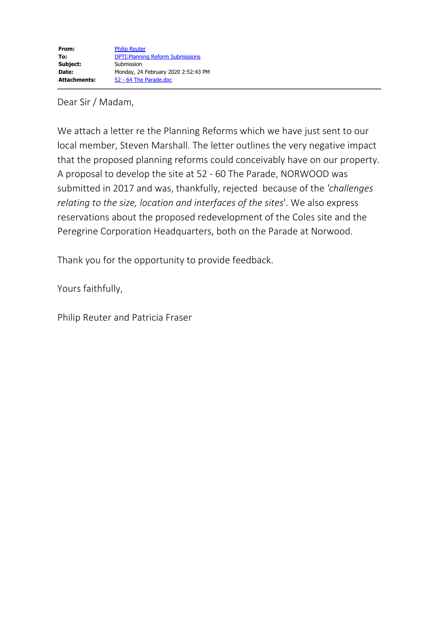## Dear Sir / Madam,

We attach a letter re the Planning Reforms which we have just sent to our local member, Steven Marshall. The letter outlines the very negative impact that the proposed planning reforms could conceivably have on our property. A proposal to develop the site at 52 - 60 The Parade, NORWOOD was submitted in 2017 and was, thankfully, rejected because of the *'challenges relating to the size, location and interfaces of the sites*'. We also express reservations about the proposed redevelopment of the Coles site and the Peregrine Corporation Headquarters, both on the Parade at Norwood.

Thank you for the opportunity to provide feedback.

Yours faithfully,

Philip Reuter and Patricia Fraser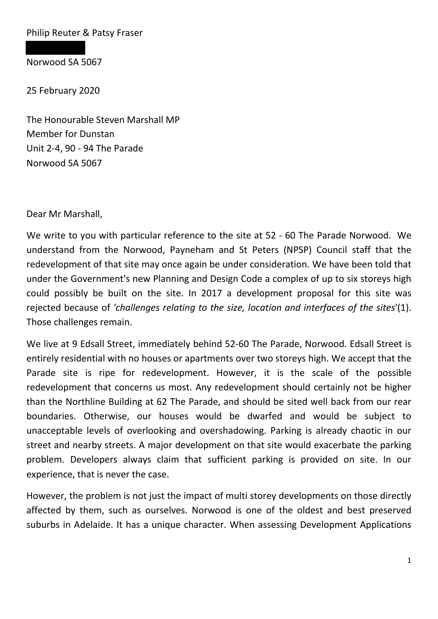Philip Reuter & Patsy Fraser

Norwood SA 5067

25 February 2020

The Honourable Steven Marshall MP Member for Dunstan Unit 2-4, 90 - 94 The Parade Norwood SA 5067

Dear Mr Marshall,

We write to you with particular reference to the site at 52 - 60 The Parade Norwood. We understand from the Norwood, Payneham and St Peters (NPSP) Council staff that the redevelopment of that site may once again be under consideration. We have been told that under the Government's new Planning and Design Code a complex of up to six storeys high could possibly be built on the site. In 2017 a development proposal for this site was rejected because of *'challenges relating to the size, location and interfaces of the sites*'(1). Those challenges remain.

We live at 9 Edsall Street, immediately behind 52-60 The Parade, Norwood. Edsall Street is entirely residential with no houses or apartments over two storeys high. We accept that the Parade site is ripe for redevelopment. However, it is the scale of the possible redevelopment that concerns us most. Any redevelopment should certainly not be higher than the Northline Building at 62 The Parade, and should be sited well back from our rear boundaries. Otherwise, our houses would be dwarfed and would be subject to unacceptable levels of overlooking and overshadowing. Parking is already chaotic in our street and nearby streets. A major development on that site would exacerbate the parking problem. Developers always claim that sufficient parking is provided on site. In our experience, that is never the case.

However, the problem is not just the impact of multi storey developments on those directly affected by them, such as ourselves. Norwood is one of the oldest and best preserved suburbs in Adelaide. It has a unique character. When assessing Development Applications